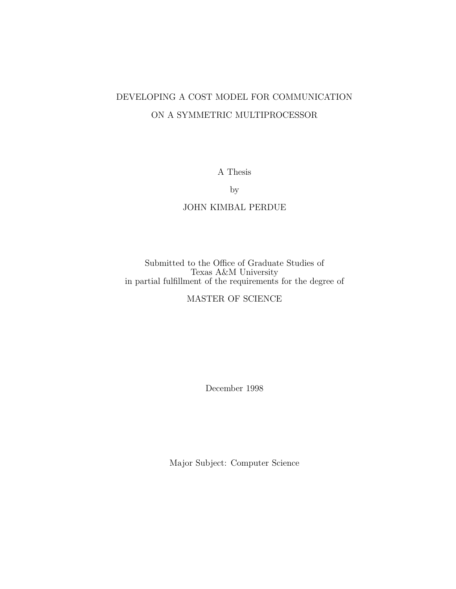# DEVELOPING A COST MODEL FOR COMMUNICATION ON A SYMMETRIC MULTIPROCESSOR

A Thesis

by

### JOHN KIMBAL PERDUE

Submitted to the Office of Graduate Studies of Texas A&M University in partial fulfillment of the requirements for the degree of

## MASTER OF SCIENCE

December 1998

Major Subject: Computer Science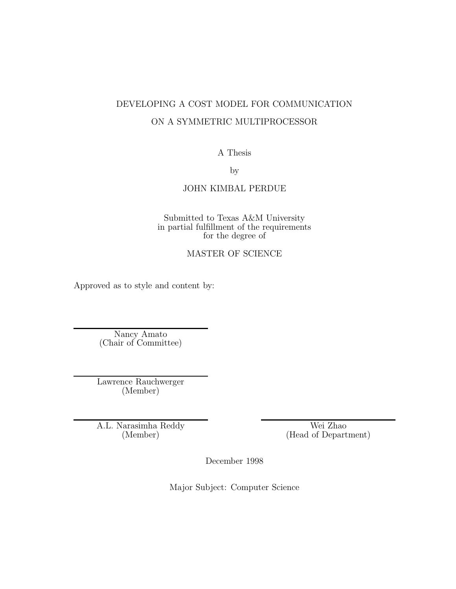# DEVELOPING A COST MODEL FOR COMMUNICATION ON A SYMMETRIC MULTIPROCESSOR

## A Thesis

by

## JOHN KIMBAL PERDUE

Submitted to Texas A&M University in partial fulfillment of the requirements for the degree of

## MASTER OF SCIENCE

Approved as to style and content by:

Nancy Amato (Chair of Committee)

Lawrence Rauchwerger (Member)

A.L. Narasimha Reddy (Member)

Wei Zhao (Head of Department)

December 1998

Major Subject: Computer Science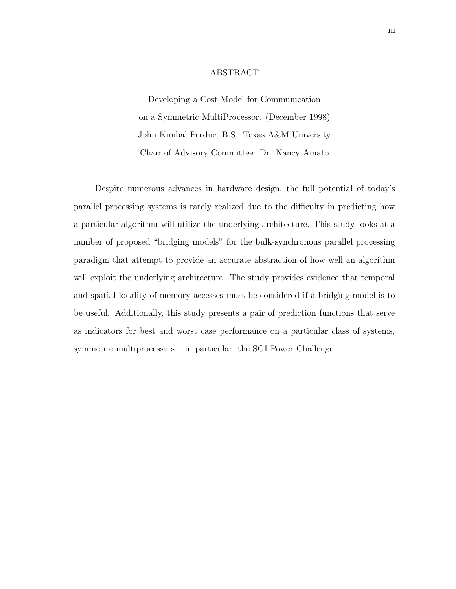#### ABSTRACT

Developing a Cost Model for Communication on a Symmetric MultiProcessor. (December 1998) John Kimbal Perdue, B.S., Texas A&M University Chair of Advisory Committee: Dr. Nancy Amato

Despite numerous advances in hardware design, the full potential of today's parallel processing systems is rarely realized due to the difficulty in predicting how a particular algorithm will utilize the underlying architecture. This study looks at a number of proposed "bridging models" for the bulk-synchronous parallel processing paradigm that attempt to provide an accurate abstraction of how well an algorithm will exploit the underlying architecture. The study provides evidence that temporal and spatial locality of memory accesses must be considered if a bridging model is to be useful. Additionally, this study presents a pair of prediction functions that serve as indicators for best and worst case performance on a particular class of systems, symmetric multiprocessors – in particular, the SGI Power Challenge.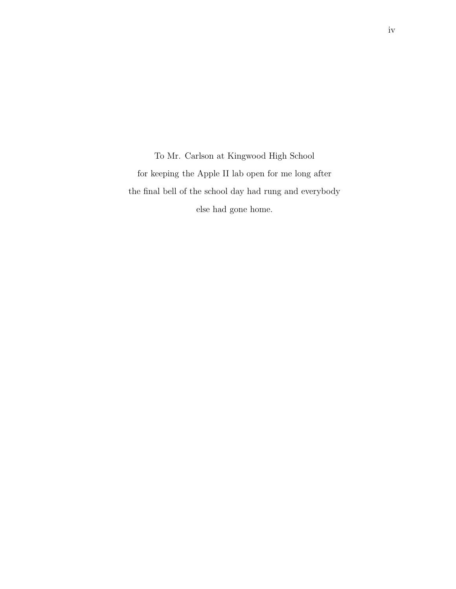To Mr. Carlson at Kingwood High School for keeping the Apple II lab open for me long after the final bell of the school day had rung and everybody else had gone home.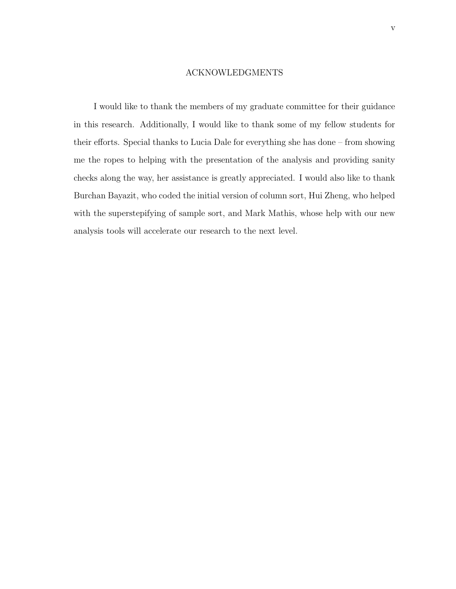#### ACKNOWLEDGMENTS

I would like to thank the members of my graduate committee for their guidance in this research. Additionally, I would like to thank some of my fellow students for their efforts. Special thanks to Lucia Dale for everything she has done – from showing me the ropes to helping with the presentation of the analysis and providing sanity checks along the way, her assistance is greatly appreciated. I would also like to thank Burchan Bayazit, who coded the initial version of column sort, Hui Zheng, who helped with the superstepifying of sample sort, and Mark Mathis, whose help with our new analysis tools will accelerate our research to the next level.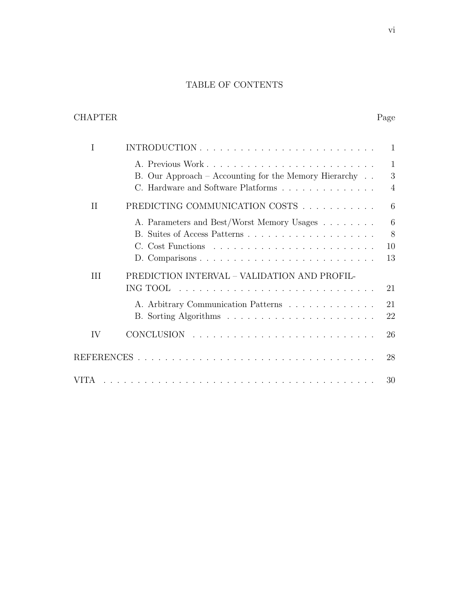# TABLE OF CONTENTS

# CHAPTER Page

| Ι        |                                                                                                                 | 1                                   |
|----------|-----------------------------------------------------------------------------------------------------------------|-------------------------------------|
|          | A. Previous Work<br>B. Our Approach – Accounting for the Memory Hierarchy<br>C. Hardware and Software Platforms | $\mathbf{1}$<br>3<br>$\overline{4}$ |
| $\rm II$ | PREDICTING COMMUNICATION COSTS                                                                                  | 6                                   |
|          | A. Parameters and Best/Worst Memory Usages                                                                      | 6<br>8<br>10<br>13                  |
| III      | PREDICTION INTERVAL - VALIDATION AND PROFIL-<br>ING TOOL<br>A. Arbitrary Communication Patterns                 | 21<br>21<br>22                      |
| IV       |                                                                                                                 | 26                                  |
|          |                                                                                                                 | 28                                  |
|          |                                                                                                                 | 30                                  |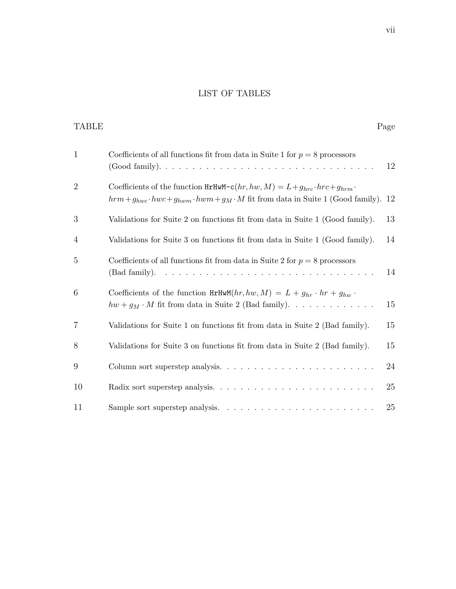## LIST OF TABLES

| TABLE          |                                                                                                                                                                                                | Page |
|----------------|------------------------------------------------------------------------------------------------------------------------------------------------------------------------------------------------|------|
| $\mathbf{1}$   | Coefficients of all functions fit from data in Suite 1 for $p = 8$ processors                                                                                                                  | 12   |
| $\overline{2}$ | Coefficients of the function $HrHwM - c(hr, hw, M) = L + g_{hrc} \cdot hrc + g_{hrm}$ .<br>$hrm + g_{hwc} \cdot hwc + g_{hwm} \cdot hwm + g_M \cdot M$ fit from data in Suite 1 (Good family). | 12   |
| 3              | Validations for Suite 2 on functions fit from data in Suite 1 (Good family).                                                                                                                   | 13   |
| 4              | Validations for Suite 3 on functions fit from data in Suite 1 (Good family).                                                                                                                   | 14   |
| 5              | Coefficients of all functions fit from data in Suite 2 for $p = 8$ processors                                                                                                                  | 14   |
| 6              | Coefficients of the function $HrHwM(hr,hw,M) = L + g_{hr} \cdot hr + g_{hw}$ .<br>$hw + g_M \cdot M$ fit from data in Suite 2 (Bad family).                                                    | 15   |
| $\overline{7}$ | Validations for Suite 1 on functions fit from data in Suite 2 (Bad family).                                                                                                                    | 15   |
| 8              | Validations for Suite 3 on functions fit from data in Suite 2 (Bad family).                                                                                                                    | 15   |
| 9              |                                                                                                                                                                                                | 24   |
| 10             |                                                                                                                                                                                                | 25   |
| 11             |                                                                                                                                                                                                | 25   |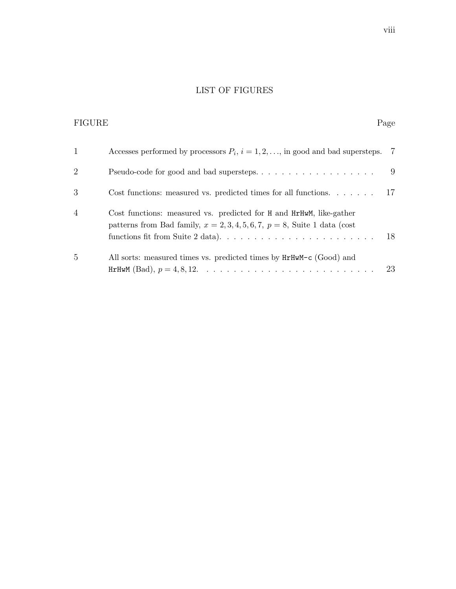# LIST OF FIGURES

| <b>FIGURE</b>  |                                                                                                                                                                      | Page |
|----------------|----------------------------------------------------------------------------------------------------------------------------------------------------------------------|------|
| $\mathbf{1}$   | Accesses performed by processors $P_i$ , $i = 1, 2, \ldots$ , in good and bad supersteps. 7                                                                          |      |
| $\overline{2}$ |                                                                                                                                                                      | 9    |
| 3              | Cost functions: measured vs. predicted times for all functions. $\dots$ .                                                                                            | 17   |
| $\overline{4}$ | Cost functions: measured vs. predicted for H and HrHwM, like-gather<br>patterns from Bad family, $x = 2, 3, 4, 5, 6, 7, p = 8$ , Suite 1 data (cost                  | 18   |
| 5              | All sorts: measured times vs. predicted times by $HrHwM-c$ (Good) and<br>HrHwM (Bad), $p = 4, 8, 12, \ldots, \ldots, \ldots, \ldots, \ldots, \ldots, \ldots, \ldots$ | 23   |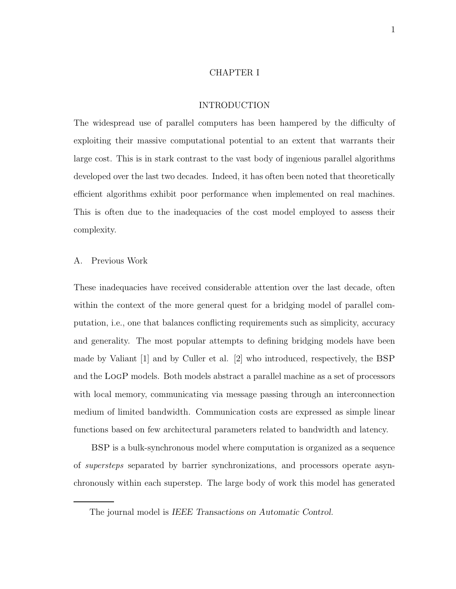#### CHAPTER I

#### INTRODUCTION

The widespread use of parallel computers has been hampered by the difficulty of exploiting their massive computational potential to an extent that warrants their large cost. This is in stark contrast to the vast body of ingenious parallel algorithms developed over the last two decades. Indeed, it has often been noted that theoretically efficient algorithms exhibit poor performance when implemented on real machines. This is often due to the inadequacies of the cost model employed to assess their complexity.

#### A. Previous Work

These inadequacies have received considerable attention over the last decade, often within the context of the more general quest for a bridging model of parallel computation, i.e., one that balances conflicting requirements such as simplicity, accuracy and generality. The most popular attempts to defining bridging models have been made by Valiant [1] and by Culler et al. [2] who introduced, respectively, the BSP and the LogP models. Both models abstract a parallel machine as a set of processors with local memory, communicating via message passing through an interconnection medium of limited bandwidth. Communication costs are expressed as simple linear functions based on few architectural parameters related to bandwidth and latency.

BSP is a bulk-synchronous model where computation is organized as a sequence of supersteps separated by barrier synchronizations, and processors operate asynchronously within each superstep. The large body of work this model has generated

The journal model is IEEE Transactions on Automatic Control.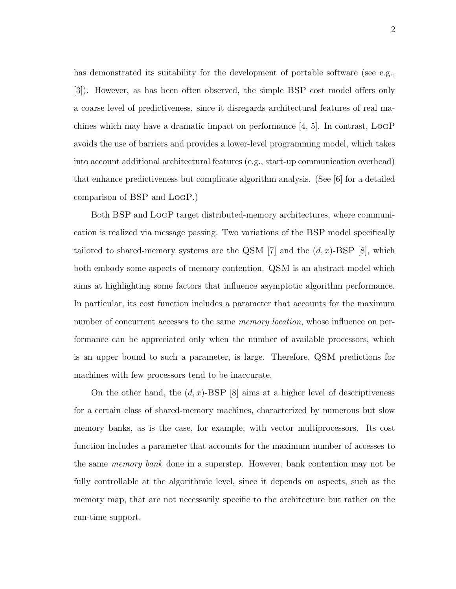has demonstrated its suitability for the development of portable software (see e.g., [3]). However, as has been often observed, the simple BSP cost model offers only a coarse level of predictiveness, since it disregards architectural features of real machines which may have a dramatic impact on performance  $[4, 5]$ . In contrast, LOGP avoids the use of barriers and provides a lower-level programming model, which takes into account additional architectural features (e.g., start-up communication overhead) that enhance predictiveness but complicate algorithm analysis. (See [6] for a detailed comparison of BSP and LogP.)

Both BSP and LogP target distributed-memory architectures, where communication is realized via message passing. Two variations of the BSP model specifically tailored to shared-memory systems are the QSM [7] and the  $(d, x)$ -BSP [8], which both embody some aspects of memory contention. QSM is an abstract model which aims at highlighting some factors that influence asymptotic algorithm performance. In particular, its cost function includes a parameter that accounts for the maximum number of concurrent accesses to the same *memory location*, whose influence on performance can be appreciated only when the number of available processors, which is an upper bound to such a parameter, is large. Therefore, QSM predictions for machines with few processors tend to be inaccurate.

On the other hand, the  $(d, x)$ -BSP [8] aims at a higher level of descriptiveness for a certain class of shared-memory machines, characterized by numerous but slow memory banks, as is the case, for example, with vector multiprocessors. Its cost function includes a parameter that accounts for the maximum number of accesses to the same memory bank done in a superstep. However, bank contention may not be fully controllable at the algorithmic level, since it depends on aspects, such as the memory map, that are not necessarily specific to the architecture but rather on the run-time support.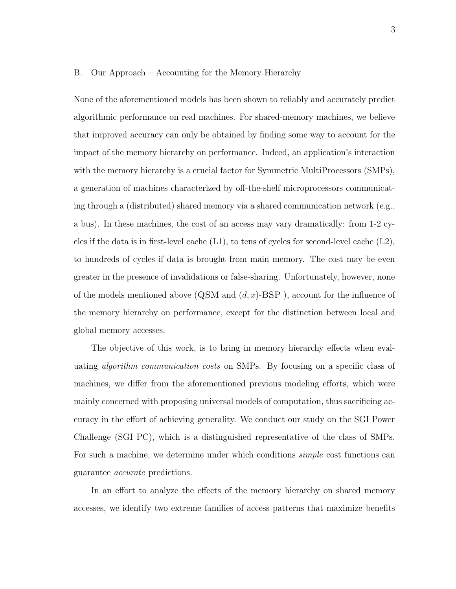#### B. Our Approach – Accounting for the Memory Hierarchy

None of the aforementioned models has been shown to reliably and accurately predict algorithmic performance on real machines. For shared-memory machines, we believe that improved accuracy can only be obtained by finding some way to account for the impact of the memory hierarchy on performance. Indeed, an application's interaction with the memory hierarchy is a crucial factor for Symmetric MultiProcessors (SMPs), a generation of machines characterized by off-the-shelf microprocessors communicating through a (distributed) shared memory via a shared communication network (e.g., a bus). In these machines, the cost of an access may vary dramatically: from 1-2 cycles if the data is in first-level cache  $(L1)$ , to tens of cycles for second-level cache  $(L2)$ , to hundreds of cycles if data is brought from main memory. The cost may be even greater in the presence of invalidations or false-sharing. Unfortunately, however, none of the models mentioned above  $(QSM \text{ and } (d, x)$ -BSP), account for the influence of the memory hierarchy on performance, except for the distinction between local and global memory accesses.

The objective of this work, is to bring in memory hierarchy effects when evaluating algorithm communication costs on SMPs. By focusing on a specific class of machines, we differ from the aforementioned previous modeling efforts, which were mainly concerned with proposing universal models of computation, thus sacrificing accuracy in the effort of achieving generality. We conduct our study on the SGI Power Challenge (SGI PC), which is a distinguished representative of the class of SMPs. For such a machine, we determine under which conditions simple cost functions can guarantee accurate predictions.

In an effort to analyze the effects of the memory hierarchy on shared memory accesses, we identify two extreme families of access patterns that maximize benefits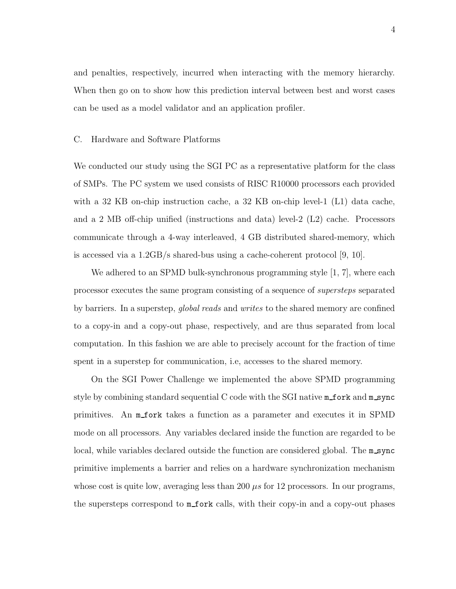and penalties, respectively, incurred when interacting with the memory hierarchy. When then go on to show how this prediction interval between best and worst cases can be used as a model validator and an application profiler.

#### C. Hardware and Software Platforms

We conducted our study using the SGI PC as a representative platform for the class of SMPs. The PC system we used consists of RISC R10000 processors each provided with a 32 KB on-chip instruction cache, a 32 KB on-chip level-1 (L1) data cache, and a 2 MB off-chip unified (instructions and data) level-2 (L2) cache. Processors communicate through a 4-way interleaved, 4 GB distributed shared-memory, which is accessed via a  $1.2GB/s$  shared-bus using a cache-coherent protocol [9, 10].

We adhered to an SPMD bulk-synchronous programming style [1, 7], where each processor executes the same program consisting of a sequence of supersteps separated by barriers. In a superstep, *global reads* and *writes* to the shared memory are confined to a copy-in and a copy-out phase, respectively, and are thus separated from local computation. In this fashion we are able to precisely account for the fraction of time spent in a superstep for communication, i.e, accesses to the shared memory.

On the SGI Power Challenge we implemented the above SPMD programming style by combining standard sequential C code with the SGI native  $m$  fork and  $m$  sync primitives. An m fork takes a function as a parameter and executes it in SPMD mode on all processors. Any variables declared inside the function are regarded to be local, while variables declared outside the function are considered global. The m\_sync primitive implements a barrier and relies on a hardware synchronization mechanism whose cost is quite low, averaging less than 200  $\mu s$  for 12 processors. In our programs, the supersteps correspond to  $m$  fork calls, with their copy-in and a copy-out phases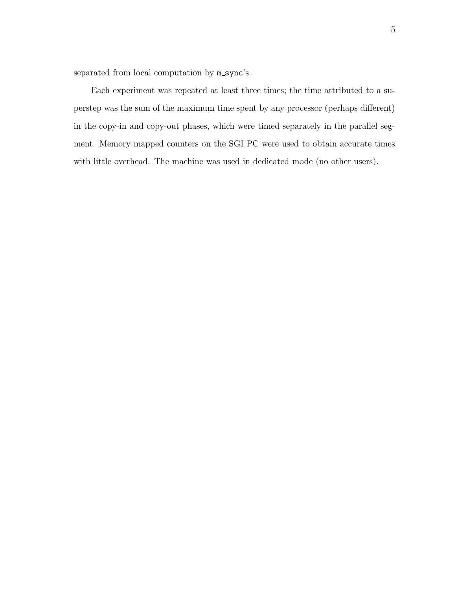separated from local computation by  $m$  sync's.

Each experiment was repeated at least three times; the time attributed to a superstep was the sum of the maximum time spent by any processor (perhaps different) in the copy-in and copy-out phases, which were timed separately in the parallel segment. Memory mapped counters on the SGI PC were used to obtain accurate times with little overhead. The machine was used in dedicated mode (no other users).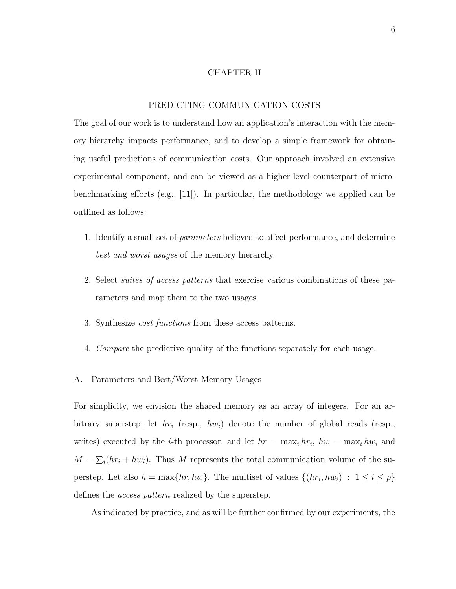#### CHAPTER II

#### PREDICTING COMMUNICATION COSTS

The goal of our work is to understand how an application's interaction with the memory hierarchy impacts performance, and to develop a simple framework for obtaining useful predictions of communication costs. Our approach involved an extensive experimental component, and can be viewed as a higher-level counterpart of microbenchmarking efforts (e.g., [11]). In particular, the methodology we applied can be outlined as follows:

- 1. Identify a small set of parameters believed to affect performance, and determine best and worst usages of the memory hierarchy.
- 2. Select suites of access patterns that exercise various combinations of these parameters and map them to the two usages.
- 3. Synthesize cost functions from these access patterns.
- 4. Compare the predictive quality of the functions separately for each usage.
- A. Parameters and Best/Worst Memory Usages

For simplicity, we envision the shared memory as an array of integers. For an arbitrary superstep, let  $hr_i$  (resp.,  $hw_i$ ) denote the number of global reads (resp., writes) executed by the *i*-th processor, and let  $hr = \max_i hr_i$ ,  $hw = \max_i hw_i$  and  $M = \sum_i (hr_i + hw_i)$ . Thus M represents the total communication volume of the superstep. Let also  $h = \max\{hr, hw\}$ . The multiset of values  $\{(hr_i, hw_i) : 1 \le i \le p\}$ defines the access pattern realized by the superstep.

As indicated by practice, and as will be further confirmed by our experiments, the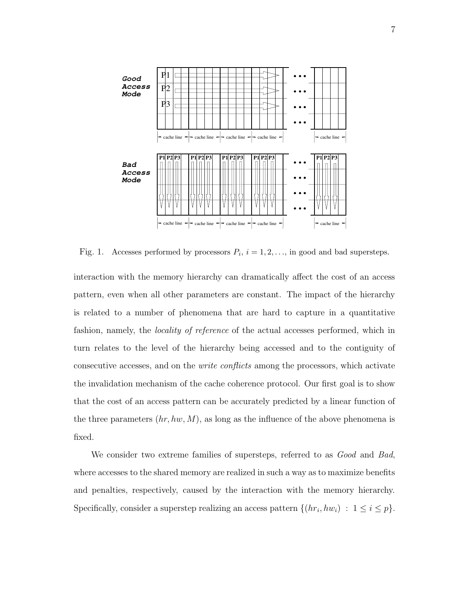

Fig. 1. Accesses performed by processors  $P_i$ ,  $i = 1, 2, \ldots$ , in good and bad supersteps.

interaction with the memory hierarchy can dramatically affect the cost of an access pattern, even when all other parameters are constant. The impact of the hierarchy is related to a number of phenomena that are hard to capture in a quantitative fashion, namely, the locality of reference of the actual accesses performed, which in turn relates to the level of the hierarchy being accessed and to the contiguity of consecutive accesses, and on the write conflicts among the processors, which activate the invalidation mechanism of the cache coherence protocol. Our first goal is to show that the cost of an access pattern can be accurately predicted by a linear function of the three parameters  $(hr, hw, M)$ , as long as the influence of the above phenomena is fixed.

We consider two extreme families of supersteps, referred to as *Good* and Bad. where accesses to the shared memory are realized in such a way as to maximize benefits and penalties, respectively, caused by the interaction with the memory hierarchy. Specifically, consider a superstep realizing an access pattern  $\{(hr_i, hw_i) : 1 \le i \le p\}$ .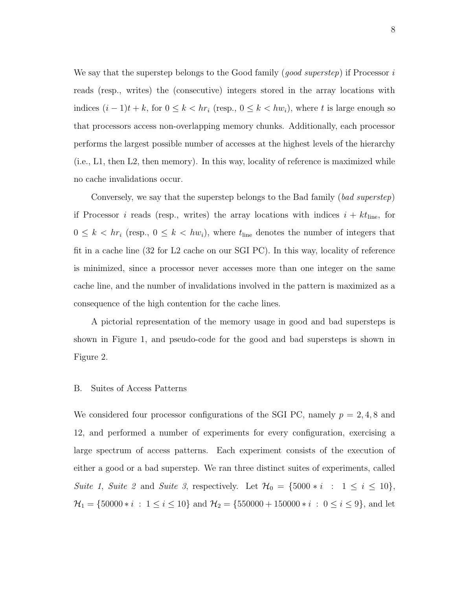We say that the superstep belongs to the Good family (*good superstep*) if Processor  $i$ reads (resp., writes) the (consecutive) integers stored in the array locations with indices  $(i - 1)t + k$ , for  $0 \le k < hr$  (resp.,  $0 \le k < hw$ ), where t is large enough so that processors access non-overlapping memory chunks. Additionally, each processor performs the largest possible number of accesses at the highest levels of the hierarchy (i.e., L1, then L2, then memory). In this way, locality of reference is maximized while no cache invalidations occur.

Conversely, we say that the superstep belongs to the Bad family (bad superstep) if Processor *i* reads (resp., writes) the array locations with indices  $i + kt$ <sub>line</sub>, for  $0 \leq k < hr_i$  (resp.,  $0 \leq k < hw_i$ ), where  $t_{\text{line}}$  denotes the number of integers that fit in a cache line (32 for L2 cache on our SGI PC). In this way, locality of reference is minimized, since a processor never accesses more than one integer on the same cache line, and the number of invalidations involved in the pattern is maximized as a consequence of the high contention for the cache lines.

A pictorial representation of the memory usage in good and bad supersteps is shown in Figure 1, and pseudo-code for the good and bad supersteps is shown in Figure 2.

#### B. Suites of Access Patterns

We considered four processor configurations of the SGI PC, namely  $p = 2, 4, 8$  and 12, and performed a number of experiments for every configuration, exercising a large spectrum of access patterns. Each experiment consists of the execution of either a good or a bad superstep. We ran three distinct suites of experiments, called Suite 1, Suite 2 and Suite 3, respectively. Let  $\mathcal{H}_0 = \{5000 * i : 1 \le i \le 10\}$ ,  $\mathcal{H}_1 = \{50000 * i : 1 \leq i \leq 10\}$  and  $\mathcal{H}_2 = \{550000 + 150000 * i : 0 \leq i \leq 9\}$ , and let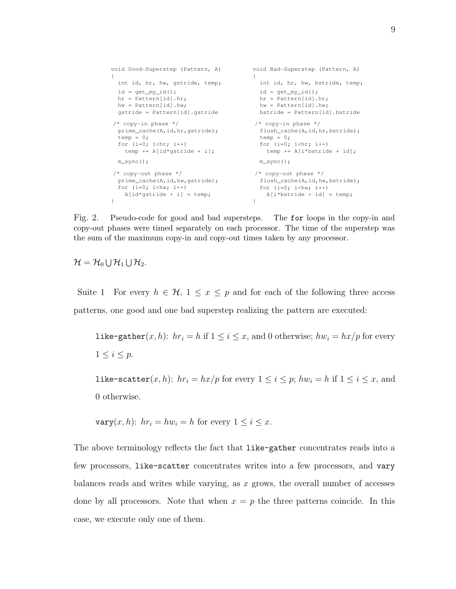```
void Good-Superstep (Pattern, A)
{
  int id, hr, hw, gstride, temp;
                                          {
                                         void Bad-Superstep (Pattern, A)
                                            int id, hr, hw, bstride, temp;
                                           id = get_my_id();
                                           hr = Pattern[id].hr;
                                           hw = Pattern[id].hw;
                                          bstride = Pattern[id].bstride
 id = get_my_id();
  hr = Pattern[id].hr;
  hw = Pattern[id].hw;
  gstride = Pattern[id].gstride
 temp = 0;
 for (i=0; i<hr; i++) temp += A[id*gstride + i];
 prime_cache(A,id,hr,gstride);
 /* copy-in phase */
                                           temp = 0;for (i=0; i<hr; i++) /* copy-in phase */
                                          flush_cache(A,id,hr,bstride);
                                             temp += A[i*bstride + id];
 m_sync(); m_sync(); m_sync();
}
 prime_cache(A,id,hw,gstride);
 /* copy-out phase */
   A[id*qstride + i] = temp;
                                         }
                                          /* copy-out phase */
                                          flush_cache(A,id,hw,bstride);<br>for (i=0; i< hw; i++)A[i*bstride + id] = temp;for (i=0; i<hw; i++)
```
Fig. 2. Pseudo-code for good and bad supersteps. The for loops in the copy-in and copy-out phases were timed separately on each processor. The time of the superstep was the sum of the maximum copy-in and copy-out times taken by any processor.

 $\mathcal{H}=\mathcal{H}_0\bigcup \mathcal{H}_1\bigcup \mathcal{H}_2.$ 

Suite 1 For every  $h \in \mathcal{H}$ ,  $1 \leq x \leq p$  and for each of the following three access patterns, one good and one bad superstep realizing the pattern are executed:

like-gather $(x, h)$ :  $hr_i = h$  if  $1 \le i \le x$ , and 0 otherwise;  $hw_i = hx/p$  for every  $1 \leq i \leq p$ .

like-scatter $(x, h)$ :  $hr_i = hx/p$  for every  $1 \leq i \leq p$ ;  $hw_i = h$  if  $1 \leq i \leq x$ , and 0 otherwise.

$$
\text{vary}(x, h): hr_i = hw_i = h \text{ for every } 1 \le i \le x.
$$

The above terminology reflects the fact that like-gather concentrates reads into a few processors, like-scatter concentrates writes into a few processors, and vary balances reads and writes while varying, as  $x$  grows, the overall number of accesses done by all processors. Note that when  $x = p$  the three patterns coincide. In this case, we execute only one of them.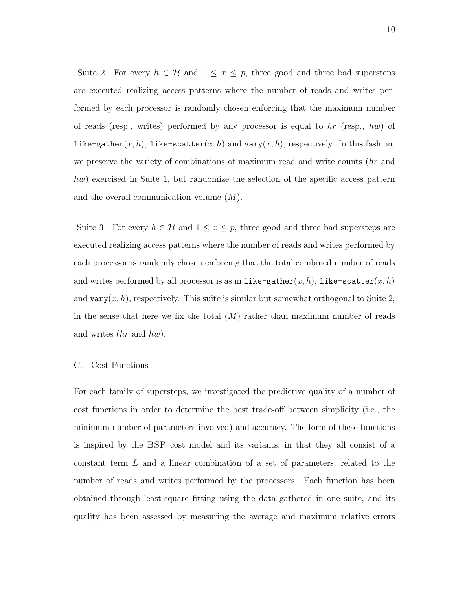Suite 2 For every  $h \in \mathcal{H}$  and  $1 \leq x \leq p$ , three good and three bad supersteps are executed realizing access patterns where the number of reads and writes performed by each processor is randomly chosen enforcing that the maximum number of reads (resp., writes) performed by any processor is equal to  $hr$  (resp., hw) of like-gather $(x, h)$ , like-scatter $(x, h)$  and vary $(x, h)$ , respectively. In this fashion, we preserve the variety of combinations of maximum read and write counts (hr and hw) exercised in Suite 1, but randomize the selection of the specific access pattern and the overall communication volume  $(M)$ .

Suite 3 For every  $h \in \mathcal{H}$  and  $1 \leq x \leq p$ , three good and three bad supersteps are executed realizing access patterns where the number of reads and writes performed by each processor is randomly chosen enforcing that the total combined number of reads and writes performed by all processor is as in like-gather $(x, h)$ , like-scatter $(x, h)$ and vary $(x, h)$ , respectively. This suite is similar but somewhat orthogonal to Suite 2, in the sense that here we fix the total  $(M)$  rather than maximum number of reads and writes  $(hr \text{ and } hw)$ .

#### C. Cost Functions

For each family of supersteps, we investigated the predictive quality of a number of cost functions in order to determine the best trade-off between simplicity (i.e., the minimum number of parameters involved) and accuracy. The form of these functions is inspired by the BSP cost model and its variants, in that they all consist of a constant term L and a linear combination of a set of parameters, related to the number of reads and writes performed by the processors. Each function has been obtained through least-square fitting using the data gathered in one suite, and its quality has been assessed by measuring the average and maximum relative errors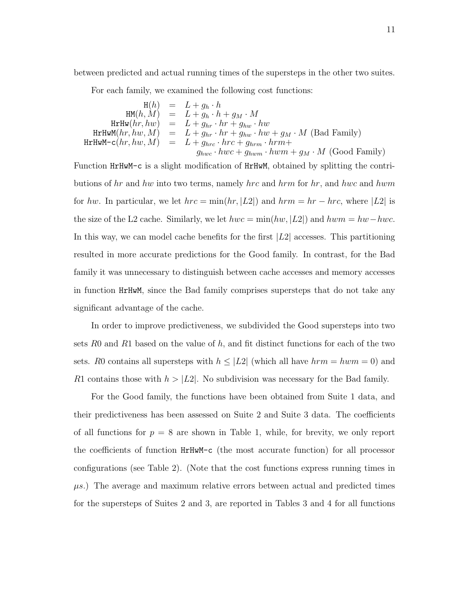between predicted and actual running times of the supersteps in the other two suites.

For each family, we examined the following cost functions:

 $H(h) = L + g_h \cdot h$  $HM(h, M) = L + g_h \cdot h + g_M \cdot M$  $\texttt{H} \texttt{r} \texttt{H} \texttt{w}(hr, hw) = L + g_{hr} \cdot hr + g_{hw} \cdot hw$  ${\tt HrHwM}(hr, hw, M) = L + g_{hr} \cdot hr + g_{hw} \cdot hw + g_M \cdot M \; ({\rm Bad\; Family})$  $HrrHwM-c(hr, hw, M) = L + g_{hrc} \cdot hrc + g_{hrm} \cdot hrm+$  $g_{hwc} \cdot hwc + g_{hwm} \cdot hwm + g_M \cdot M$  (Good Family)

Function HrHwM-c is a slight modification of HrHwM, obtained by splitting the contributions of  $hr$  and  $hw$  into two terms, namely  $hrc$  and  $hrm$  for  $hr$ , and  $hwc$  and  $hwm$ for hw. In particular, we let  $hrc = \min(hr, |L2|)$  and  $hrm = hr - hrc$ , where  $|L2|$  is the size of the L2 cache. Similarly, we let  $hwc = \min(hw, |L2|)$  and  $hwm = hw-hwc$ . In this way, we can model cache benefits for the first  $|L2|$  accesses. This partitioning resulted in more accurate predictions for the Good family. In contrast, for the Bad family it was unnecessary to distinguish between cache accesses and memory accesses in function HrHwM, since the Bad family comprises supersteps that do not take any significant advantage of the cache.

In order to improve predictiveness, we subdivided the Good supersteps into two sets R0 and R1 based on the value of  $h$ , and fit distinct functions for each of the two sets. R0 contains all supersteps with  $h \leq |L_2|$  (which all have  $hrm = hwm = 0$ ) and R1 contains those with  $h > |L2|$ . No subdivision was necessary for the Bad family.

For the Good family, the functions have been obtained from Suite 1 data, and their predictiveness has been assessed on Suite 2 and Suite 3 data. The coefficients of all functions for  $p = 8$  are shown in Table 1, while, for brevity, we only report the coefficients of function HrHwM-c (the most accurate function) for all processor configurations (see Table 2). (Note that the cost functions express running times in  $\mu$ s.) The average and maximum relative errors between actual and predicted times for the supersteps of Suites 2 and 3, are reported in Tables 3 and 4 for all functions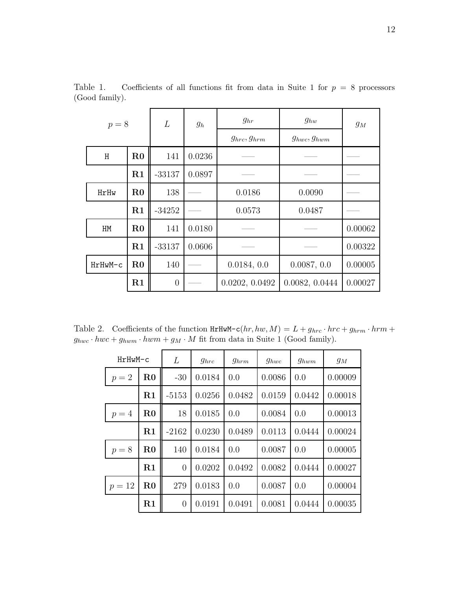| $p = 8$ |          | L              | $g_h$  | $g_{hr}$           | $g_{hw}$           | $g_M$   |
|---------|----------|----------------|--------|--------------------|--------------------|---------|
|         |          |                |        | $g_{hrc}, g_{hrm}$ | $g_{hwc}, g_{hwm}$ |         |
| H       | $\rm R0$ | 141            | 0.0236 |                    |                    |         |
|         | R1       | $-33137$       | 0.0897 |                    |                    |         |
| HrHw    | $\rm R0$ | 138            |        | 0.0186             | 0.0090             |         |
|         | R1       | $-34252$       |        | 0.0573             | 0.0487             |         |
| HM      | $\rm R0$ | 141            | 0.0180 |                    |                    | 0.00062 |
|         | R1       | $-33137$       | 0.0606 |                    |                    | 0.00322 |
| HrHwM-c | $\rm R0$ | 140            |        | 0.0184, 0.0        | 0.0087, 0.0        | 0.00005 |
|         | $\rm R1$ | $\overline{0}$ |        | 0.0202, 0.0492     | 0.0082, 0.0444     | 0.00027 |

Table 1. Coefficients of all functions fit from data in Suite 1 for  $p = 8$  processors (Good family).

Table 2. Coefficients of the function  $HrHwM-c(hr, hw, M) = L + g_{hrc} \cdot hrc + g_{hrm} \cdot hrm +$  $g_{hwc} \cdot hwc + g_{hwm} \cdot hwm + g_M \cdot M$  fit from data in Suite 1 (Good family).

| HrHwM-c |                        | L              | $g_{hrc}$ | $g_{hrm}$ | $g_{hwc}$ | $g_{hwm}$ | $g_M$   |
|---------|------------------------|----------------|-----------|-----------|-----------|-----------|---------|
| $p=2$   | $\mathbf{R0}$<br>$-30$ |                | 0.0184    | 0.0       | 0.0086    | 0.0       | 0.00009 |
|         | R1                     | $-5153$        | 0.0256    | 0.0482    | 0.0159    | 0.0442    | 0.00018 |
| $p=4$   | $\mathbf{R0}$          | 18             | 0.0185    | 0.0       | 0.0084    | 0.0       | 0.00013 |
|         | R1                     | $-2162$        | 0.0230    | 0.0489    | 0.0113    | 0.0444    | 0.00024 |
| $p = 8$ | $\bf R0$               | 140            | 0.0184    | 0.0       | 0.0087    | 0.0       | 0.00005 |
|         | R1                     | $\overline{0}$ | 0.0202    | 0.0492    | 0.0082    | 0.0444    | 0.00027 |
| $p=12$  | $\mathbf{R0}$          | 279            | 0.0183    | 0.0       | 0.0087    | 0.0       | 0.00004 |
|         | R1                     | $\overline{0}$ | 0.0191    | 0.0491    | 0.0081    | 0.0444    | 0.00035 |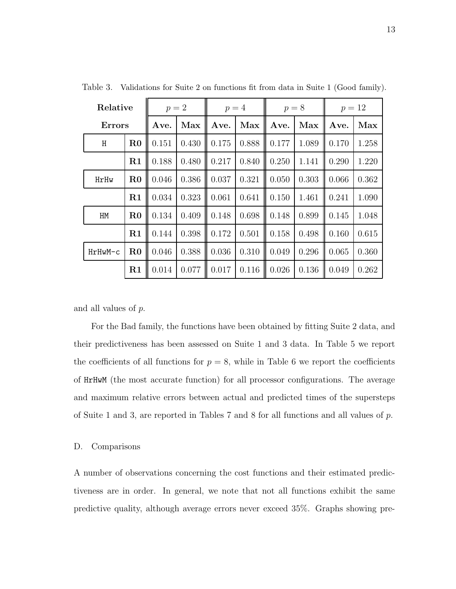| Relative      |             | $p=2$ |       | $p=4$ |       | $p = 8$ |       | $p = 12$ |       |
|---------------|-------------|-------|-------|-------|-------|---------|-------|----------|-------|
| <b>Errors</b> |             | Ave.  | Max   | Ave.  | Max   | Ave.    | Max   | Ave.     | Max   |
| H             | $\rm R0$    | 0.151 | 0.430 | 0.175 | 0.888 | 0.177   | 1.089 | 0.170    | 1.258 |
|               | R1          | 0.188 | 0.480 | 0.217 | 0.840 | 0.250   | 1.141 | 0.290    | 1.220 |
| HrHw          | $\rm R0$    | 0.046 | 0.386 | 0.037 | 0.321 | 0.050   | 0.303 | 0.066    | 0.362 |
|               | R1          | 0.034 | 0.323 | 0.061 | 0.641 | 0.150   | 1.461 | 0.241    | 1.090 |
| HM            | $_{\rm R0}$ | 0.134 | 0.409 | 0.148 | 0.698 | 0.148   | 0.899 | 0.145    | 1.048 |
|               | R1          | 0.144 | 0.398 | 0.172 | 0.501 | 0.158   | 0.498 | 0.160    | 0.615 |
| HrHwM-c       | $\rm R0$    | 0.046 | 0.388 | 0.036 | 0.310 | 0.049   | 0.296 | 0.065    | 0.360 |
|               | R1          | 0.014 | 0.077 | 0.017 | 0.116 | 0.026   | 0.136 | 0.049    | 0.262 |

Table 3. Validations for Suite 2 on functions fit from data in Suite 1 (Good family).

and all values of p.

For the Bad family, the functions have been obtained by fitting Suite 2 data, and their predictiveness has been assessed on Suite 1 and 3 data. In Table 5 we report the coefficients of all functions for  $p = 8$ , while in Table 6 we report the coefficients of HrHwM (the most accurate function) for all processor configurations. The average and maximum relative errors between actual and predicted times of the supersteps of Suite 1 and 3, are reported in Tables 7 and 8 for all functions and all values of p.

#### D. Comparisons

A number of observations concerning the cost functions and their estimated predictiveness are in order. In general, we note that not all functions exhibit the same predictive quality, although average errors never exceed 35%. Graphs showing pre-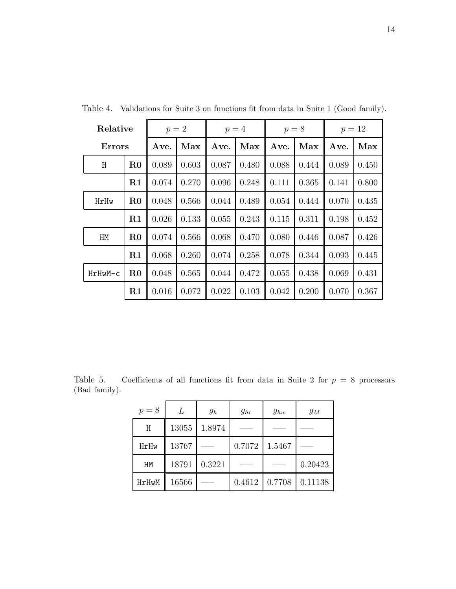| Relative      |          | $p=2$ |       | $p=4$ |       | $p = 8$ |       | $p = 12$ |       |
|---------------|----------|-------|-------|-------|-------|---------|-------|----------|-------|
| <b>Errors</b> |          | Ave.  | Max   | Ave.  | Max   | Ave.    | Max   | Ave.     | Max   |
| H             | $\rm R0$ | 0.089 | 0.603 | 0.087 | 0.480 | 0.088   | 0.444 | 0.089    | 0.450 |
|               | R1       | 0.074 | 0.270 | 0.096 | 0.248 | 0.111   | 0.365 | 0.141    | 0.800 |
| HrHw          | $\rm R0$ | 0.048 | 0.566 | 0.044 | 0.489 | 0.054   | 0.444 | 0.070    | 0.435 |
|               | R1       | 0.026 | 0.133 | 0.055 | 0.243 | 0.115   | 0.311 | 0.198    | 0.452 |
| HM            | $\rm R0$ | 0.074 | 0.566 | 0.068 | 0.470 | 0.080   | 0.446 | 0.087    | 0.426 |
|               | $\rm R1$ | 0.068 | 0.260 | 0.074 | 0.258 | 0.078   | 0.344 | 0.093    | 0.445 |
| HrHwM-c       | $\rm R0$ | 0.048 | 0.565 | 0.044 | 0.472 | 0.055   | 0.438 | 0.069    | 0.431 |
|               | R1       | 0.016 | 0.072 | 0.022 | 0.103 | 0.042   | 0.200 | 0.070    | 0.367 |

Table 4. Validations for Suite 3 on functions fit from data in Suite 1 (Good family).

Table 5. Coefficients of all functions fit from data in Suite 2 for  $p = 8$  processors (Bad family).

| $p = 8$ | L     | $g_h$  | $g_{hr}$ | $g_{hw}$ | $g_M$   |
|---------|-------|--------|----------|----------|---------|
| H       | 13055 | 1.8974 |          |          |         |
| HrHw    | 13767 |        | 0.7072   | 1.5467   |         |
| HM      | 18791 | 0.3221 |          |          | 0.20423 |
| HrHwM   | 16566 |        | 0.4612   | 0.7708   | 0.11138 |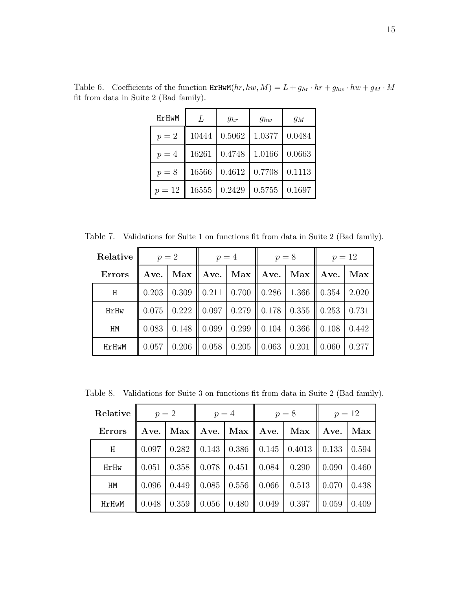| HrHwM   | L     | $g_{hr}$ | $g_{hw}$ | $g_M$  |
|---------|-------|----------|----------|--------|
| $p=2$   | 10444 | 0.5062   | 1.0377   | 0.0484 |
| $p=4$   | 16261 | 0.4748   | 1.0166   | 0.0663 |
| $p = 8$ | 16566 | 0.4612   | 0.7708   | 0.1113 |
| $p=12$  | 16555 | 0.2429   | 0.5755   | 0.1697 |

Table 6. Coefficients of the function  $\text{HrHwM}(hr, hw, M) = L + g_{hr} \cdot hr + g_{hw} \cdot hw + g_M \cdot M$ fit from data in Suite 2 (Bad family).

Table 7. Validations for Suite 1 on functions fit from data in Suite 2 (Bad family).

| Relative      | $p=2$ |                 | $p=4$ |                    | $p = 8$  |       | $p = 12$          |       |  |
|---------------|-------|-----------------|-------|--------------------|----------|-------|-------------------|-------|--|
| <b>Errors</b> | Ave.  | $Max \parallel$ |       | Ave. $\ $ Max $\ $ | Ave. Max |       | $\parallel$ Ave.  | Max   |  |
| H             | 0.203 | 0.309           |       | $0.211 \mid 0.700$ | 0.286    | 1.366 | $\parallel$ 0.354 | 2.020 |  |
| HrHw          | 0.075 | 0.222           | 0.097 | 0.279              | 0.178    | 0.355 | $\parallel$ 0.253 | 0.731 |  |
| HM            | 0.083 | 0.148           | 0.099 | 0.299              | 0.104    | 0.366 | $\parallel 0.108$ | 0.442 |  |
| HrHwM         | 0.057 | 0.206           | 0.058 | 0.205              | 0.063    | 0.201 | 0.060             | 0.277 |  |

Table 8. Validations for Suite 3 on functions fit from data in Suite 2 (Bad family).

| Relative      | $p=2$ |                 | $p=4$ |                                           |       | $p=8$                            | $p = 12$     |       |  |
|---------------|-------|-----------------|-------|-------------------------------------------|-------|----------------------------------|--------------|-------|--|
| <b>Errors</b> | Ave.  | $Max \parallel$ |       | Ave.   Max    Ave.   Max                  |       |                                  | Ave. $\vert$ | Max   |  |
| H             | 0.097 | 0.282           |       |                                           |       | $0.143$   0.386   0.145   0.4013 | 0.133        | 0.594 |  |
| HrHw          | 0.051 | 0.358           |       | $\parallel$ 0.078   0.451   0.084   0.290 |       |                                  | 0.090        | 0.460 |  |
| HM            | 0.096 | 0.449           |       | $0.085 \mid 0.556 \mid 0.066$             |       | 0.513                            | 0.070        | 0.438 |  |
| HrHwM         | 0.048 | 0.359           | 0.056 | 0.480                                     | 0.049 | 0.397                            | 0.059        | 0.409 |  |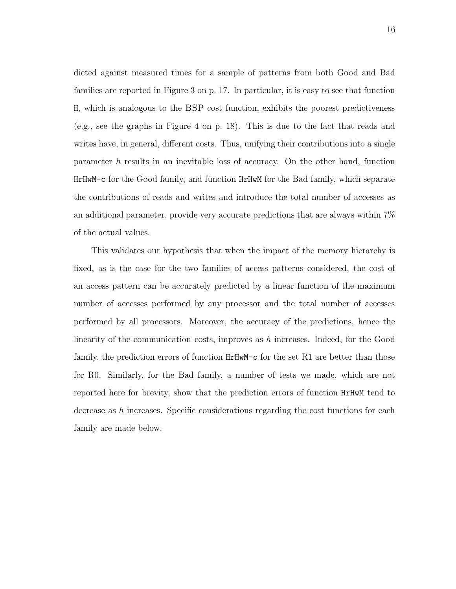dicted against measured times for a sample of patterns from both Good and Bad families are reported in Figure 3 on p. 17. In particular, it is easy to see that function H, which is analogous to the BSP cost function, exhibits the poorest predictiveness (e.g., see the graphs in Figure 4 on p. 18). This is due to the fact that reads and writes have, in general, different costs. Thus, unifying their contributions into a single parameter h results in an inevitable loss of accuracy. On the other hand, function HrHwM-c for the Good family, and function HrHwM for the Bad family, which separate the contributions of reads and writes and introduce the total number of accesses as an additional parameter, provide very accurate predictions that are always within 7% of the actual values.

This validates our hypothesis that when the impact of the memory hierarchy is fixed, as is the case for the two families of access patterns considered, the cost of an access pattern can be accurately predicted by a linear function of the maximum number of accesses performed by any processor and the total number of accesses performed by all processors. Moreover, the accuracy of the predictions, hence the linearity of the communication costs, improves as  $h$  increases. Indeed, for the Good family, the prediction errors of function HrHwM-c for the set R1 are better than those for R0. Similarly, for the Bad family, a number of tests we made, which are not reported here for brevity, show that the prediction errors of function HrHwM tend to decrease as h increases. Specific considerations regarding the cost functions for each family are made below.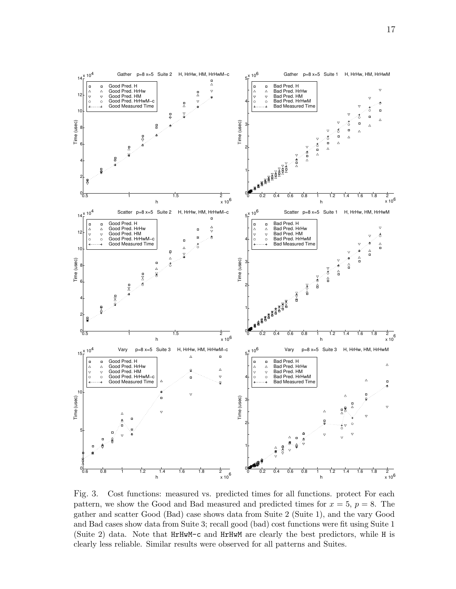

Fig. 3. Cost functions: measured vs. predicted times for all functions. protect For each pattern, we show the Good and Bad measured and predicted times for  $x = 5$ ,  $p = 8$ . The gather and scatter Good (Bad) case shows data from Suite 2 (Suite 1), and the vary Good and Bad cases show data from Suite 3; recall good (bad) cost functions were fit using Suite 1 (Suite 2) data. Note that HrHwM-c and HrHwM are clearly the best predictors, while H is clearly less reliable. Similar results were observed for all patterns and Suites.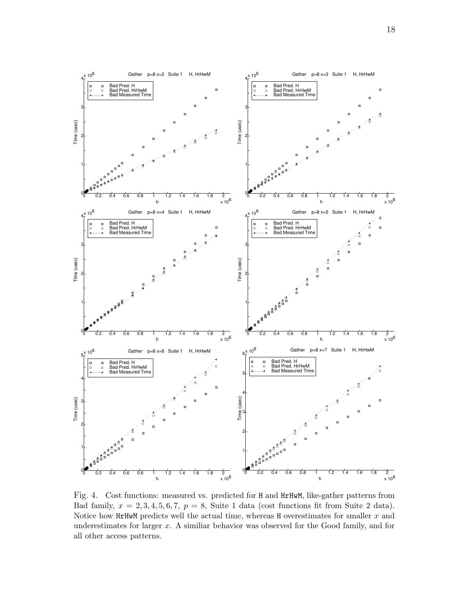

Fig. 4. Cost functions: measured vs. predicted for H and HrHwM, like-gather patterns from Bad family,  $x = 2, 3, 4, 5, 6, 7, p = 8$ , Suite 1 data (cost functions fit from Suite 2 data). Notice how HrHwM predicts well the actual time, whereas H overestimates for smaller  $x$  and underestimates for larger x. A similiar behavior was observed for the Good family, and for all other access patterns.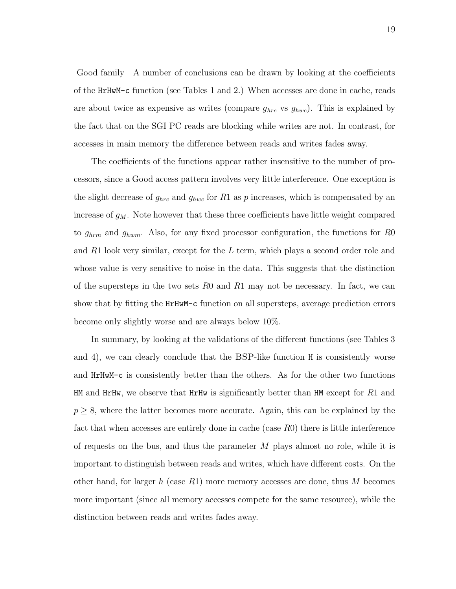Good family A number of conclusions can be drawn by looking at the coefficients of the HrHwM-c function (see Tables 1 and 2.) When accesses are done in cache, reads are about twice as expensive as writes (compare  $g_{hrc}$  vs  $g_{hwc}$ ). This is explained by the fact that on the SGI PC reads are blocking while writes are not. In contrast, for accesses in main memory the difference between reads and writes fades away.

The coefficients of the functions appear rather insensitive to the number of processors, since a Good access pattern involves very little interference. One exception is the slight decrease of  $g_{hrc}$  and  $g_{hwc}$  for R1 as p increases, which is compensated by an increase of  $g_M$ . Note however that these three coefficients have little weight compared to  $g_{hrm}$  and  $g_{hwm}$ . Also, for any fixed processor configuration, the functions for R0 and  $R1$  look very similar, except for the L term, which plays a second order role and whose value is very sensitive to noise in the data. This suggests that the distinction of the supersteps in the two sets  $R_0$  and  $R_1$  may not be necessary. In fact, we can show that by fitting the HrHwM-c function on all supersteps, average prediction errors become only slightly worse and are always below 10%.

In summary, by looking at the validations of the different functions (see Tables 3 and 4), we can clearly conclude that the BSP-like function H is consistently worse and HrHwM-c is consistently better than the others. As for the other two functions HM and HrHw, we observe that HrHw is significantly better than HM except for  $R1$  and  $p \geq 8$ , where the latter becomes more accurate. Again, this can be explained by the fact that when accesses are entirely done in cache (case R0) there is little interference of requests on the bus, and thus the parameter  $M$  plays almost no role, while it is important to distinguish between reads and writes, which have different costs. On the other hand, for larger h (case  $R1$ ) more memory accesses are done, thus M becomes more important (since all memory accesses compete for the same resource), while the distinction between reads and writes fades away.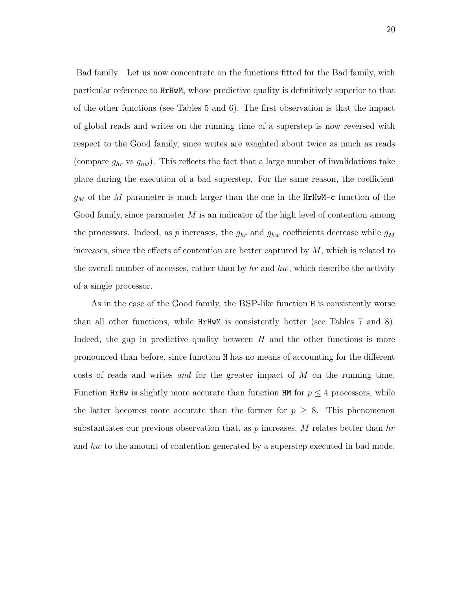Bad family Let us now concentrate on the functions fitted for the Bad family, with particular reference to HrHwM, whose predictive quality is definitively superior to that of the other functions (see Tables 5 and 6). The first observation is that the impact of global reads and writes on the running time of a superstep is now reversed with respect to the Good family, since writes are weighted about twice as much as reads (compare  $g_{hr}$  vs  $g_{hw}$ ). This reflects the fact that a large number of invalidations take place during the execution of a bad superstep. For the same reason, the coefficient  $g_M$  of the M parameter is much larger than the one in the HrHwM-c function of the Good family, since parameter  $M$  is an indicator of the high level of contention among the processors. Indeed, as p increases, the  $g_{hr}$  and  $g_{hw}$  coefficients decrease while  $g_M$ increases, since the effects of contention are better captured by  $M$ , which is related to the overall number of accesses, rather than by  $hr$  and  $hw$ , which describe the activity of a single processor.

As in the case of the Good family, the BSP-like function H is consistently worse than all other functions, while HrHwM is consistently better (see Tables 7 and 8). Indeed, the gap in predictive quality between  $H$  and the other functions is more pronounced than before, since function H has no means of accounting for the different costs of reads and writes and for the greater impact of M on the running time. Function HrHw is slightly more accurate than function HM for  $p \leq 4$  processors, while the latter becomes more accurate than the former for  $p \geq 8$ . This phenomenon substantiates our previous observation that, as  $p$  increases,  $M$  relates better than  $hr$ and hw to the amount of contention generated by a superstep executed in bad mode.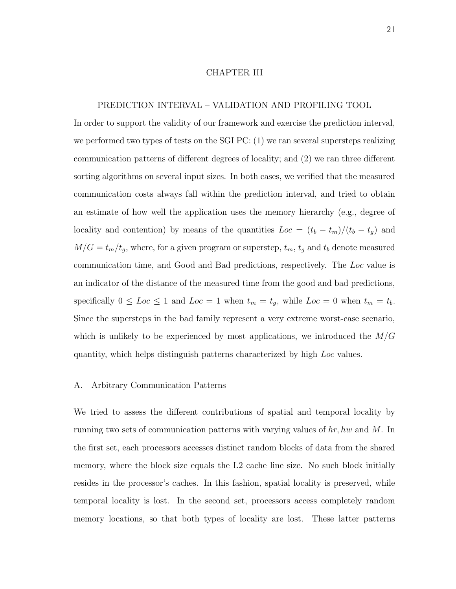#### CHAPTER III

#### PREDICTION INTERVAL – VALIDATION AND PROFILING TOOL

In order to support the validity of our framework and exercise the prediction interval, we performed two types of tests on the SGI PC: (1) we ran several supersteps realizing communication patterns of different degrees of locality; and (2) we ran three different sorting algorithms on several input sizes. In both cases, we verified that the measured communication costs always fall within the prediction interval, and tried to obtain an estimate of how well the application uses the memory hierarchy (e.g., degree of locality and contention) by means of the quantities  $Loc = (t_b - t_m)/(t_b - t_g)$  and  $M/G = t_m/t_g$ , where, for a given program or superstep,  $t_m$ ,  $t_g$  and  $t_b$  denote measured communication time, and Good and Bad predictions, respectively. The Loc value is an indicator of the distance of the measured time from the good and bad predictions, specifically  $0 \leq Loc \leq 1$  and  $Loc = 1$  when  $t_m = t_g$ , while  $Loc = 0$  when  $t_m = t_b$ . Since the supersteps in the bad family represent a very extreme worst-case scenario, which is unlikely to be experienced by most applications, we introduced the  $M/G$ quantity, which helps distinguish patterns characterized by high Loc values.

#### A. Arbitrary Communication Patterns

We tried to assess the different contributions of spatial and temporal locality by running two sets of communication patterns with varying values of  $hr$ , hw and M. In the first set, each processors accesses distinct random blocks of data from the shared memory, where the block size equals the L2 cache line size. No such block initially resides in the processor's caches. In this fashion, spatial locality is preserved, while temporal locality is lost. In the second set, processors access completely random memory locations, so that both types of locality are lost. These latter patterns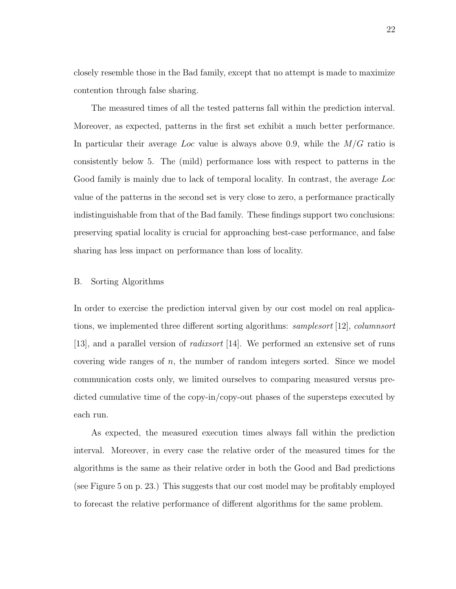closely resemble those in the Bad family, except that no attempt is made to maximize contention through false sharing.

The measured times of all the tested patterns fall within the prediction interval. Moreover, as expected, patterns in the first set exhibit a much better performance. In particular their average Loc value is always above 0.9, while the  $M/G$  ratio is consistently below 5. The (mild) performance loss with respect to patterns in the Good family is mainly due to lack of temporal locality. In contrast, the average Loc value of the patterns in the second set is very close to zero, a performance practically indistinguishable from that of the Bad family. These findings support two conclusions: preserving spatial locality is crucial for approaching best-case performance, and false sharing has less impact on performance than loss of locality.

#### B. Sorting Algorithms

In order to exercise the prediction interval given by our cost model on real applications, we implemented three different sorting algorithms: samplesort [12], columnsort [13], and a parallel version of radixsort [14]. We performed an extensive set of runs covering wide ranges of  $n$ , the number of random integers sorted. Since we model communication costs only, we limited ourselves to comparing measured versus predicted cumulative time of the copy-in/copy-out phases of the supersteps executed by each run.

As expected, the measured execution times always fall within the prediction interval. Moreover, in every case the relative order of the measured times for the algorithms is the same as their relative order in both the Good and Bad predictions (see Figure 5 on p. 23.) This suggests that our cost model may be profitably employed to forecast the relative performance of different algorithms for the same problem.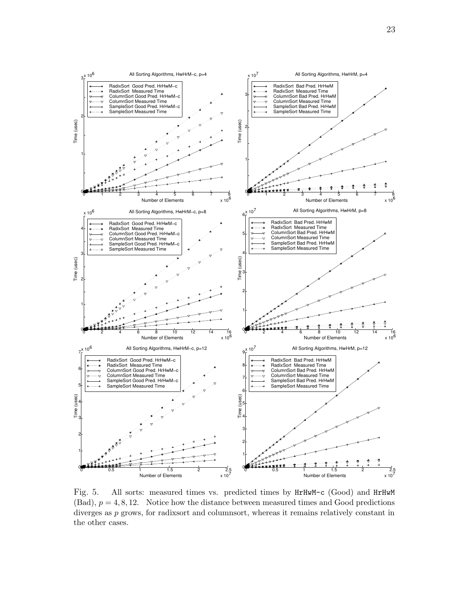

Fig. 5. All sorts: measured times vs. predicted times by HrHwM-c (Good) and HrHwM  $(Bad)$ ,  $p = 4, 8, 12$ . Notice how the distance between measured times and Good predictions diverges as p grows, for radixsort and columnsort, whereas it remains relatively constant in the other cases.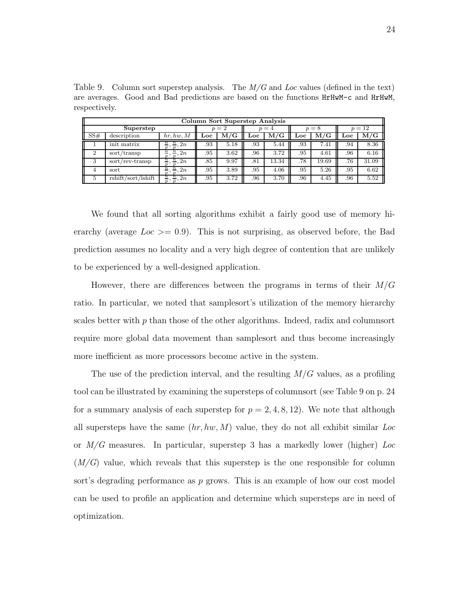Table 9. Column sort superstep analysis. The  $M/G$  and Loc values (defined in the text) are averages. Good and Bad predictions are based on the functions HrHwM-c and HrHwM, respectively.

|     | Column Sort Superstep Analysis |                                                                              |     |              |       |              |                           |              |        |           |  |  |
|-----|--------------------------------|------------------------------------------------------------------------------|-----|--------------|-------|--------------|---------------------------|--------------|--------|-----------|--|--|
|     | Superstep                      |                                                                              |     | $=2$         | $n=4$ |              | $= 8$<br>$\boldsymbol{n}$ |              | $p=12$ |           |  |  |
| SS# | description                    | hr, hw, M                                                                    | Loc | $_{\rm M/G}$ | Loc   | $_{\rm M/G}$ | Loc                       | $_{\rm M/G}$ | Loc    | $\rm M/G$ |  |  |
|     | init matrix                    | $\frac{n}{p}$ , 2n<br>$\, n \,$<br>$\boldsymbol{n}$                          | .93 | 5.18         | .93   | 5.44         | .93                       | 7.41         | .94    | 8.36      |  |  |
| 2   | sort/transp                    | $\mathbf n$<br>$\mathbf{n}$<br>2n<br>$\boldsymbol{\eta}$<br>$\boldsymbol{n}$ | .95 | 3.62         | .96   | 3.72         | .95                       | 4.61         | .96    | 6.16      |  |  |
| 3   | sort/rev-transp                | $\mathbf{n}$<br>$\mathbf{n}$<br>2n<br>$n^{\frac{1}{2}}$<br>n,                | .85 | 9.97         | .81   | 13.34        | .78                       | 19.69        | .76    | 31.09     |  |  |
|     | sort                           | $\bm{n}$<br>$\boldsymbol{n}$<br>$\frac{1}{p}$ , 2n<br>$n^{\frac{1}{2}}$      | .95 | 3.89         | .95   | 4.06         | .95                       | 5.26         | .95    | 6.62      |  |  |
| 5   | rshift/sort/Ishift             | $\frac{n}{\cdot}$<br>$\frac{n}{p}, 2n$<br>n,                                 | .95 | 3.72         | .96   | 3.70         | .96                       | 4.45         | .96    | 5.52      |  |  |

We found that all sorting algorithms exhibit a fairly good use of memory hierarchy (average  $Loc \ge 0.9$ ). This is not surprising, as observed before, the Bad prediction assumes no locality and a very high degree of contention that are unlikely to be experienced by a well-designed application.

However, there are differences between the programs in terms of their  $M/G$ ratio. In particular, we noted that samplesort's utilization of the memory hierarchy scales better with  $p$  than those of the other algorithms. Indeed, radix and columnsort require more global data movement than samplesort and thus become increasingly more inefficient as more processors become active in the system.

The use of the prediction interval, and the resulting  $M/G$  values, as a profiling tool can be illustrated by examining the supersteps of columnsort (see Table 9 on p. 24 for a summary analysis of each superstep for  $p = 2, 4, 8, 12$ . We note that although all supersteps have the same  $(hr, hw, M)$  value, they do not all exhibit similar Loc or  $M/G$  measures. In particular, superstep 3 has a markedly lower (higher) Loc  $(M/G)$  value, which reveals that this superstep is the one responsible for column sort's degrading performance as p grows. This is an example of how our cost model can be used to profile an application and determine which supersteps are in need of optimization.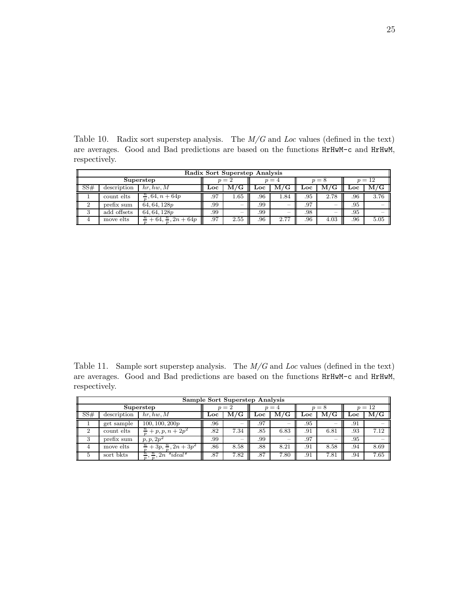Table 10. Radix sort superstep analysis. The  $M/G$  and Loc values (defined in the text) are averages. Good and Bad predictions are based on the functions HrHwM-c and HrHwM, respectively.

| Radix Sort Superstep Analysis |             |                                              |       |                         |         |              |         |                          |        |              |  |
|-------------------------------|-------------|----------------------------------------------|-------|-------------------------|---------|--------------|---------|--------------------------|--------|--------------|--|
| Superstep                     |             |                                              | $n=2$ |                         | $p = 4$ |              | $p = 8$ |                          | $p=12$ |              |  |
| $\parallel$ SS#               | description | hr, hw, M                                    | Loc   | $\mathbf{M}/\mathbf{G}$ | ⊥oc     | $_{\rm M/G}$ | Loc     | M/G                      | Loc    | $_{\rm M/G}$ |  |
|                               | count elts  | $\frac{n}{2}$ , 64, $n + 64p$                | .97   | 1.65                    | .96     | 1.84         | .95     | 2.78                     | .96    | 3.76         |  |
|                               | prefix sum  | 64, 64, 128p                                 | .99   | -                       | .99     | -            | .97     | $\overline{\phantom{a}}$ | .95    |              |  |
|                               | add offsets | 64, 64, 128p                                 | .99   | -                       | .99     | -            | .98     | $\overline{\phantom{a}}$ | .95    |              |  |
|                               | move elts   | $+64, \frac{n}{n}, 2n + 64p$<br>$\mathbf{n}$ | .97   | 2.55                    | .96     | 2.77         | .96     | 4.03                     | .96    | 5.05         |  |

Table 11. Sample sort superstep analysis. The  $M/G$  and Loc values (defined in the text) are averages. Good and Bad predictions are based on the functions HrHwM-c and HrHwM, respectively.

| Sample Sort Superstep Analysis |             |                                                      |       |              |      |           |       |                         |        |      |
|--------------------------------|-------------|------------------------------------------------------|-------|--------------|------|-----------|-------|-------------------------|--------|------|
| Superstep                      |             |                                                      | $=$ 2 |              | $=4$ |           | $p=8$ |                         | $p=12$ |      |
| SS#                            | description | hr, hw, M                                            | Loc   | $_{\rm M/G}$ | Loc  | $\rm M/G$ | Loc   | $\mathbf{M}/\mathbf{G}$ | Loc    | M/G  |
|                                | get sample  | 100, 100, 200p                                       | .96   |              | .97  | $\equiv$  | .95   | -                       | .91    |      |
| 2                              | count elts  | $\frac{n}{n}$<br>$+p, p, n + 2p^2$                   | .82   | 7.34         | .85  | 6.83      | .91   | 6.81                    | .93    | 7.12 |
|                                | prefix sum  | $p, p, 2p^2$                                         | .99   |              | .99  | $\equiv$  | .97   | -                       | .95    |      |
|                                | move elts   | $\frac{n}{n} + \frac{3p}{n}, \frac{n}{n}, 2n + 3p^2$ | .86   | 8.58         | .88  | 8.21      | .91   | 8.58                    | .94    | 8.69 |
| Ð                              | sort bkts   | $,\frac{n}{n},2n * ideal*$<br>$\frac{n}{p}$ ,        | .87   | 7.82         | .87  | 7.80      | .91   | 7.81                    | .94    | 7.65 |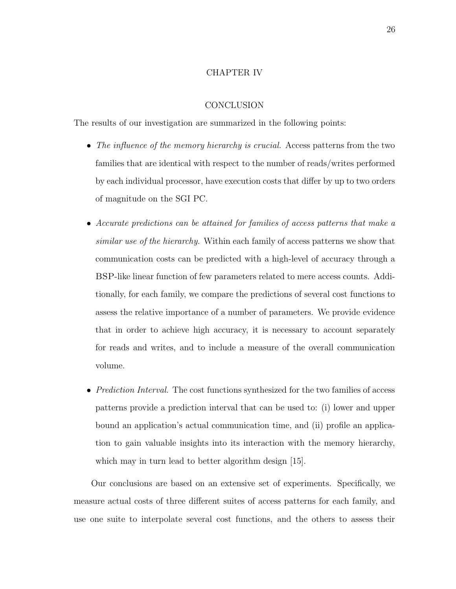#### CHAPTER IV

#### **CONCLUSION**

The results of our investigation are summarized in the following points:

- The influence of the memory hierarchy is crucial. Access patterns from the two families that are identical with respect to the number of reads/writes performed by each individual processor, have execution costs that differ by up to two orders of magnitude on the SGI PC.
- Accurate predictions can be attained for families of access patterns that make a similar use of the hierarchy. Within each family of access patterns we show that communication costs can be predicted with a high-level of accuracy through a BSP-like linear function of few parameters related to mere access counts. Additionally, for each family, we compare the predictions of several cost functions to assess the relative importance of a number of parameters. We provide evidence that in order to achieve high accuracy, it is necessary to account separately for reads and writes, and to include a measure of the overall communication volume.
- *Prediction Interval.* The cost functions synthesized for the two families of access patterns provide a prediction interval that can be used to: (i) lower and upper bound an application's actual communication time, and (ii) profile an application to gain valuable insights into its interaction with the memory hierarchy, which may in turn lead to better algorithm design [15].

Our conclusions are based on an extensive set of experiments. Specifically, we measure actual costs of three different suites of access patterns for each family, and use one suite to interpolate several cost functions, and the others to assess their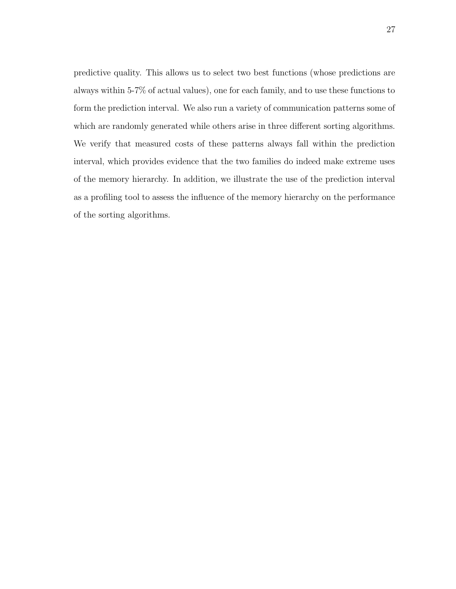predictive quality. This allows us to select two best functions (whose predictions are always within 5-7% of actual values), one for each family, and to use these functions to form the prediction interval. We also run a variety of communication patterns some of which are randomly generated while others arise in three different sorting algorithms. We verify that measured costs of these patterns always fall within the prediction interval, which provides evidence that the two families do indeed make extreme uses of the memory hierarchy. In addition, we illustrate the use of the prediction interval as a profiling tool to assess the influence of the memory hierarchy on the performance of the sorting algorithms.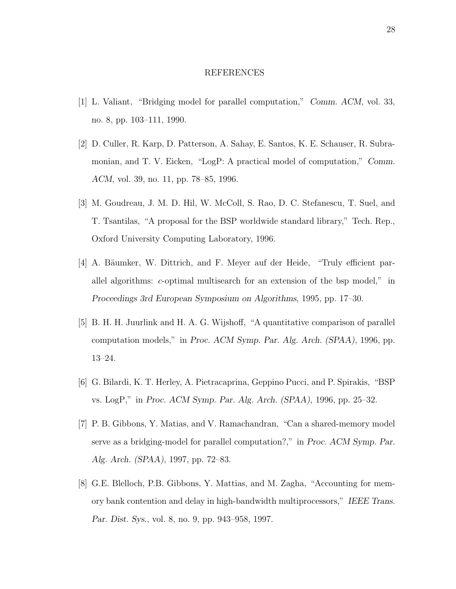#### REFERENCES

- [1] L. Valiant, "Bridging model for parallel computation," Comm. ACM, vol. 33, no. 8, pp. 103–111, 1990.
- [2] D. Culler, R. Karp, D. Patterson, A. Sahay, E. Santos, K. E. Schauser, R. Subramonian, and T. V. Eicken, "LogP: A practical model of computation," Comm. ACM, vol. 39, no. 11, pp. 78–85, 1996.
- [3] M. Goudreau, J. M. D. Hil, W. McColl, S. Rao, D. C. Stefanescu, T. Suel, and T. Tsantilas, "A proposal for the BSP worldwide standard library," Tech. Rep., Oxford University Computing Laboratory, 1996.
- [4] A. Bäumker, W. Dittrich, and F. Meyer auf der Heide, "Truly efficient parallel algorithms: c-optimal multisearch for an extension of the bsp model," in Proceedings 3rd European Symposium on Algorithms, 1995, pp. 17–30.
- [5] B. H. H. Juurlink and H. A. G. Wijshoff, "A quantitative comparison of parallel computation models," in Proc. ACM Symp. Par. Alg. Arch. (SPAA), 1996, pp. 13–24.
- [6] G. Bilardi, K. T. Herley, A. Pietracaprina, Geppino Pucci, and P. Spirakis, "BSP vs. LogP," in Proc. ACM Symp. Par. Alg. Arch. (SPAA), 1996, pp. 25–32.
- [7] P. B. Gibbons, Y. Matias, and V. Ramachandran, "Can a shared-memory model serve as a bridging-model for parallel computation?," in Proc. ACM Symp. Par. Alg. Arch. (SPAA), 1997, pp. 72–83.
- [8] G.E. Blelloch, P.B. Gibbons, Y. Mattias, and M. Zagha, "Accounting for memory bank contention and delay in high-bandwidth multiprocessors," IEEE Trans. Par. Dist. Sys., vol. 8, no. 9, pp. 943–958, 1997.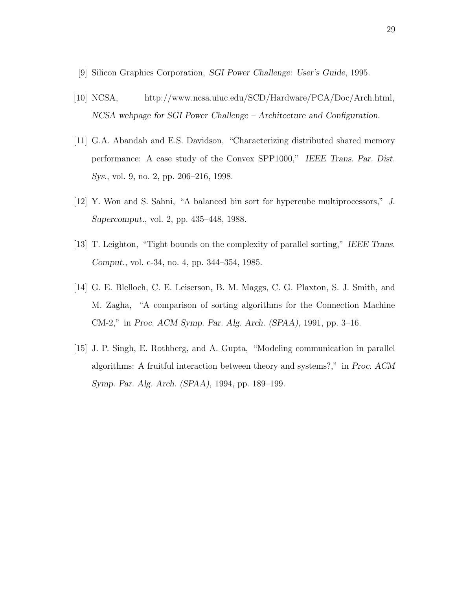- [9] Silicon Graphics Corporation, SGI Power Challenge: User's Guide, 1995.
- [10] NCSA, http://www.ncsa.uiuc.edu/SCD/Hardware/PCA/Doc/Arch.html, NCSA webpage for SGI Power Challenge – Architecture and Configuration.
- [11] G.A. Abandah and E.S. Davidson, "Characterizing distributed shared memory performance: A case study of the Convex SPP1000," IEEE Trans. Par. Dist. Sys., vol. 9, no. 2, pp. 206–216, 1998.
- [12] Y. Won and S. Sahni, "A balanced bin sort for hypercube multiprocessors," J. Supercomput., vol. 2, pp. 435–448, 1988.
- [13] T. Leighton, "Tight bounds on the complexity of parallel sorting," IEEE Trans. Comput., vol. c-34, no. 4, pp. 344–354, 1985.
- [14] G. E. Blelloch, C. E. Leiserson, B. M. Maggs, C. G. Plaxton, S. J. Smith, and M. Zagha, "A comparison of sorting algorithms for the Connection Machine CM-2," in Proc. ACM Symp. Par. Alg. Arch. (SPAA), 1991, pp. 3–16.
- [15] J. P. Singh, E. Rothberg, and A. Gupta, "Modeling communication in parallel algorithms: A fruitful interaction between theory and systems?," in Proc. ACM Symp. Par. Alg. Arch. (SPAA), 1994, pp. 189–199.